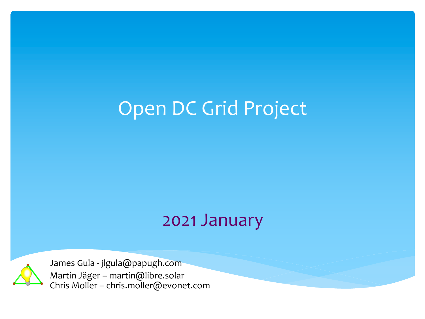#### Open DC Grid Project

#### 2021 January



James Gula - jlgula@papugh.com Martin Jäger – martin@libre.solar Chris Moller – chris.moller@evonet.com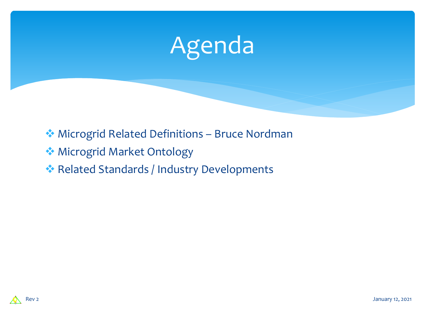

- ◆ Microgrid Related Definitions Bruce Nordman
- **W** Microgrid Market Ontology
- ◆ Related Standards / Industry Developments

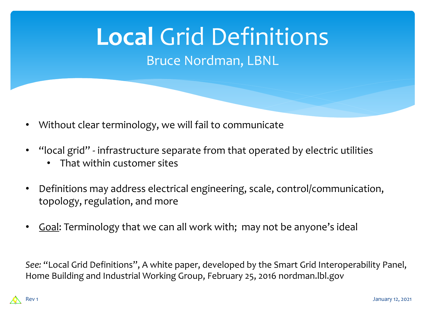# **Local** Grid Definitions

Bruce Nordman, LBNL

- Without clear terminology, we will fail to communicate
- "local grid" infrastructure separate from that operated by electric utilities
	- That within customer sites
- Definitions may address electrical engineering, scale, control/communication, topology, regulation, and more
- Goal: Terminology that we can all work with; may not be anyone's ideal

*See:* "Local Grid Definitions", A white paper, developed by the Smart Grid Interoperability Panel, Home Building and Industrial Working Group, February 25, 2016 nordman.lbl.gov

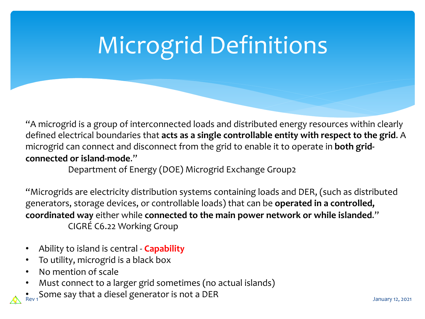## Microgrid Definitions

"A microgrid is a group of interconnected loads and distributed energy resources within clearly defined electrical boundaries that **acts as a single controllable entity with respect to the grid**. A microgrid can connect and disconnect from the grid to enable it to operate in **both gridconnected or island-mode**."

Department of Energy (DOE) Microgrid Exchange Group2

"Microgrids are electricity distribution systems containing loads and DER, (such as distributed generators, storage devices, or controllable loads) that can be **operated in a controlled, coordinated way** either while **connected to the main power network or while islanded**." CIGRÉ C6.22 Working Group

- Ability to island is central **Capability**
- To utility, microgrid is a black box
- No mention of scale
- Must connect to a larger grid sometimes (no actual islands)
- Some say that a diesel generator is not a DER<br>Rev 1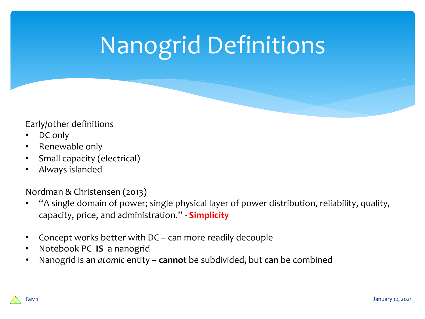## Nanogrid Definitions

#### Early/other definitions

- DC only
- Renewable only
- Small capacity (electrical)
- Always islanded

Nordman & Christensen (2013)

- "A single domain of power; single physical layer of power distribution, reliability, quality, capacity, price, and administration." - **Simplicity**
- Concept works better with DC can more readily decouple
- Notebook PC **IS** a nanogrid
- Nanogrid is an *atomic* entity **cannot** be subdivided, but **can** be combined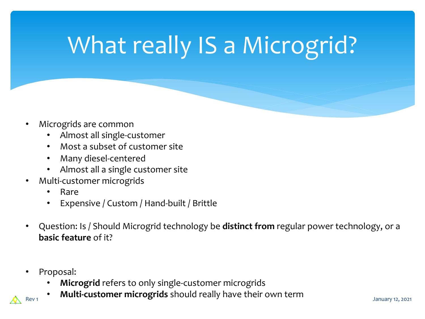## What really IS a Microgrid?

- Microgrids are common
	- Almost all single-customer
	- Most a subset of customer site
	- Many diesel-centered
	- Almost all a single customer site
- Multi-customer microgrids
	- Rare
	- Expensive / Custom / Hand-built / Brittle
- Question: Is / Should Microgrid technology be **distinct from** regular power technology, or a **basic feature** of it?
- Proposal:
	- **Microgrid** refers to only single-customer microgrids
- **• Multi-customer microgrids** should really have their own term *January 12, 2021*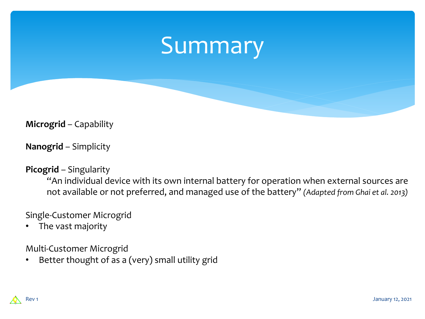### Summary

**Microgrid** – Capability

**Nanogrid** – Simplicity

#### **Picogrid** – Singularity

"An individual device with its own internal battery for operation when external sources are not available or not preferred, and managed use of the battery" *(Adapted from Ghai et al. 2013)*

#### Single-Customer Microgrid

The vast majority

Multi-Customer Microgrid

• Better thought of as a (very) small utility grid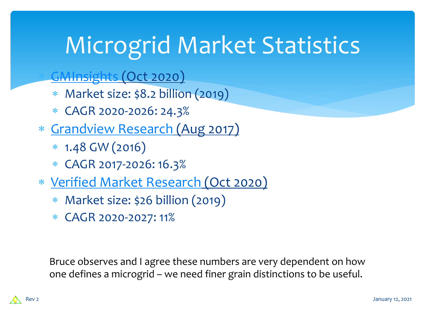## [Microgrid Ma](https://www.verifiedmarketresearch.com/product/global-global-microgrid-market-size-and-forecast-to-2025/)rket Statistics

GMInsights (Oct 2020)

- \* Market size: \$8.2 billion (2019)
- \* CAGR 2020-2026: 24.3%
- \* Grandview Research (Aug 2017)
	- \* 1.48 GW (2016)
	- \* CAGR 2017-2026: 16.3%
- \* Verified Market Research (Oct 2020)
	- \* Market size: \$26 billion (2019)
	- \* CAGR 2020-2027: 11%

Bruce observes and I agree these numbers are very dependent on how one defines a microgrid – we need finer grain distinctions to be useful.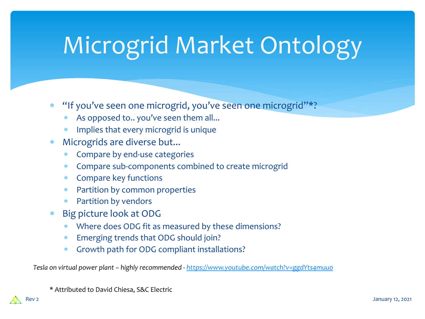# Microgrid Market Ontology

- "If you've seen one microgrid, you've seen one microgrid"\*?
	- As opposed to.. you've seen t[hem all...](https://www.youtube.com/watch?v=ggdYts4muu0)
	- \* Implies that every microgrid is unique
- \* Microgrids are diverse but...
	- \* Compare by end-use categories
	- \* Compare sub-components combined to create microgrid
	- \* Compare key functions
	- \* Partition by common properties
	- \* Partition by vendors
- Big picture look at ODG
	- \* Where does ODG fit as measured by these dimensions?
	- Emerging trends that ODG should join?
	- \* Growth path for ODG compliant installations?

*Tesla on virtual power plant – highly recommended - https://www.youtube.com/watch?v=ggdYts4muu0* 

\* Attributed to David Chiesa, S&C Electric

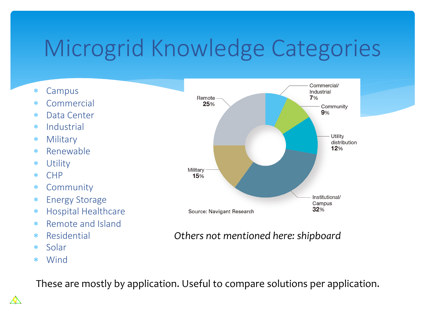## Microgrid Knowledge Categories

- \* Campus
- \* Commercial
- \* Data Center
- \* Industrial
- \* Military
- \* Renewable
- \* Utility
- \* CHP
- \* Community
- \* Energy Storage
- \* Hospital Healthcare
- \* Remote and Island
- \* Residential
- \* Solar
- \* Wind

⚠



#### *Others not mentioned here: shipboard*

These are mostly by application. Useful to compare solutions per application.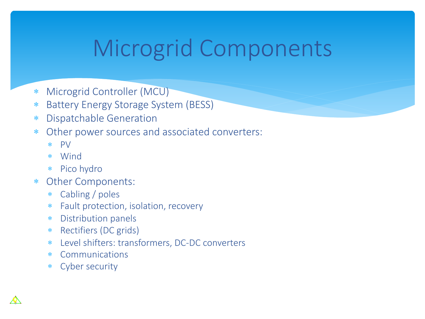## Microgrid Components

- \* Microgrid Controller (MCU)
- \* Battery Energy Storage System (BESS)
- \* Dispatchable Generation
- \* Other power sources and associated converters:
	- \* PV
	- \* Wind
	- \* Pico hydro
- \* Other Components:
	- \* Cabling / poles
	- Fault protection, isolation, recovery
	- \* Distribution panels
	- \* Rectifiers (DC grids)
	- \* Level shifters: transformers, DC-DC converters
	- \* Communications
	- \* Cyber security

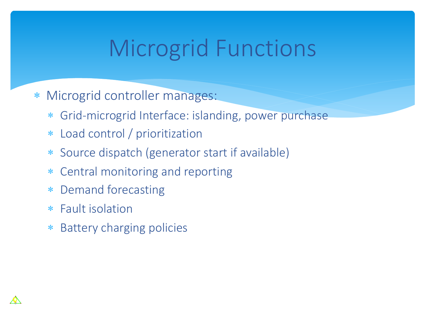## Microgrid Functions

- \* Microgrid controller manages:
	- \* Grid-microgrid Interface: islanding, power purchase
	- \* Load control / prioritization
	- \* Source dispatch (generator start if available)
	- \* Central monitoring and reporting
	- \* Demand forecasting
	- \* Fault isolation
	- \* Battery charging policies

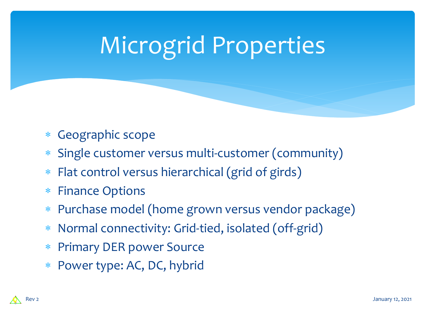## Microgrid Properties

- \* Geographic scope
- \* Single customer versus multi-customer (community)
- \* Flat control versus hierarchical (grid of girds)
- \* Finance Options
- \* Purchase model (home grown versus vendor package)
- \* Normal connectivity: Grid-tied, isolated (off-grid)
- \* Primary DER power Source
- \* Power type: AC, DC, hybrid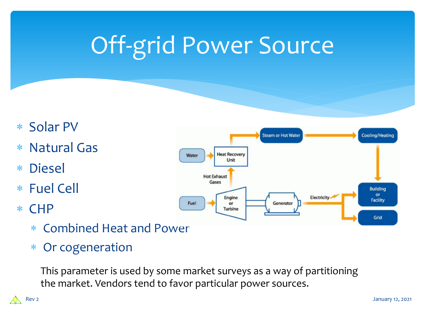## Off-grid Power Source

- \* Solar PV
- \* Natural Gas
- \* Diesel
- \* Fuel Cell
- \* CHP
	- \* Combined Heat and Power
	- \* Or cogeneration

This parameter is used by some market surveys as a way of partitioning the market. Vendors tend to favor particular power sources.

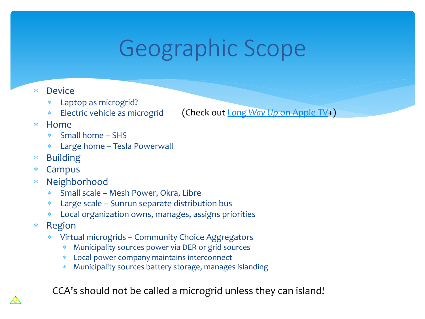## Geographic Scope

- \* Device
	- \* Laptop as microgrid?
	- \* Electric vehicle as microgrid
- \* Home
	- \* Small home SHS
	- \* Large home Tesla Powerwall
- \* Building
- \* Campus
- \* Neighborhood
	- \* Small scale Mesh Power, Okra, Libre
	- \* Large scale Sunrun separate distribution bus
	- Local organization owns, manages, assigns priorities
- \* Region
	- \* Virtual microgrids Community Choice Aggregators
		- \* Municipality sources power via DER or grid sources
		- \* Local power company maintains interconnect
		- \* Municipality sources battery storage, manages islanding

CCA's should not be called a microgrid unless they can island!

(Check out *Long Way Up* on Apple TV+)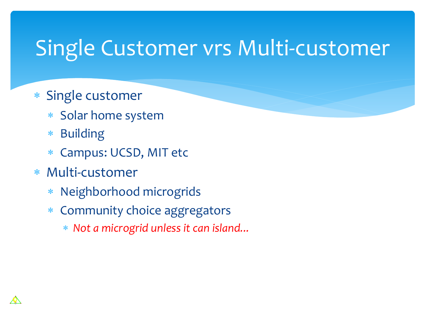### Single Customer vrs Multi-customer

- \* Single customer
	- \* Solar home system
	- \* Building
	- \* Campus: UCSD, MIT etc
- \* Multi-customer
	- \* Neighborhood microgrids
	- \* Community choice aggregators
		- \* *Not a microgrid unless it can island...*

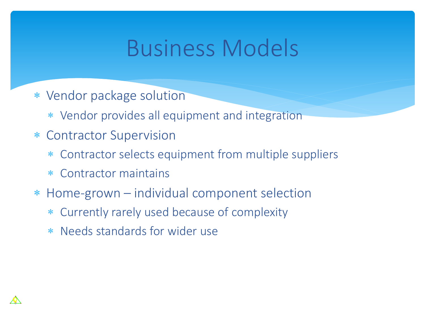### Business Models

- \* Vendor package solution
	- \* Vendor provides all equipment and integration
- \* Contractor Supervision
	- \* Contractor selects equipment from multiple suppliers
	- \* Contractor maintains
- \* Home-grown individual component selection
	- \* Currently rarely used because of complexity
	- \* Needs standards for wider use

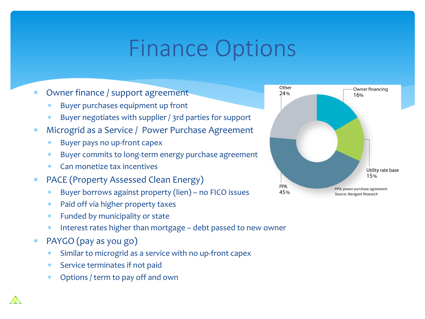### Finance Options

- \* Owner finance / support agreement
	- Buyer purchases equipment up front
	- Buyer negotiates with supplier / 3rd parties for support
- \* Microgrid as a Service / Power Purchase Agreement
	- Buyer pays no up-front capex
	- Buyer commits to long-term energy purchase agreement
	- \* Can monetize tax incentives
- \* PACE (Property Assessed Clean Energy)
	- \* Buyer borrows against property (lien) no FICO issues
	- Paid off via higher property taxes
	- \* Funded by municipality or state
	- Interest rates higher than mortgage debt passed to new owner
- \* PAYGO (pay as you go)
	- Similar to microgrid as a service with no up-front capex
	- Service terminates if not paid
	- \* Options / term to pay off and own

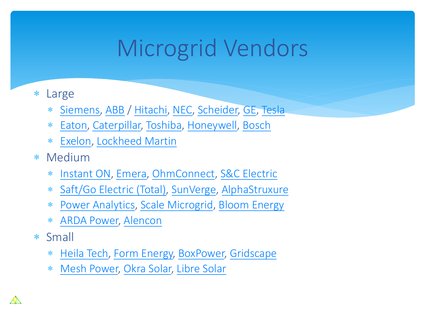## [Micr](https://www.greentechmedia.com/articles/read/military-microgrid-startup-go-electric-exits-with-acquisition-by-saft)[o](https://www.scalemicrogridsolutions.com/)[grid](http://www.sunverge.com/)[Vendo](https://alphastruxure.com/)rs

- \* Large
	- \* [Siemens, A](https://heilatech.com/)BB [/ Hitachi,](https://formenergy.com/) [NEC, Scheid](https://boxpower.io/)[er, GE, Tesl](http://grid-scape.com/renewable-microgrid/)a
	- \* [Eaton, Caterp](http://www.meshpower.co.rw/)[illar, Toshib](https://okrasolar.com/)[a, Honeywe](https://libre.solar/)ll, Bosch
	- \* Exelon, Lockheed Martin
- \* Medium
	- \* Instant ON, Emera, OhmConnect, S&C Electric
	- \* Saft/Go Electric (Total), SunVerge, AlphaStruxure
	- \* Power Analytics, Scale Microgrid, Bloom Energy
	- \* ARDA Power, Alencon
- \* Small
	- \* Heila Tech, Form Energy, BoxPower, Gridscape
	- \* Mesh Power, Okra Solar, Libre Solar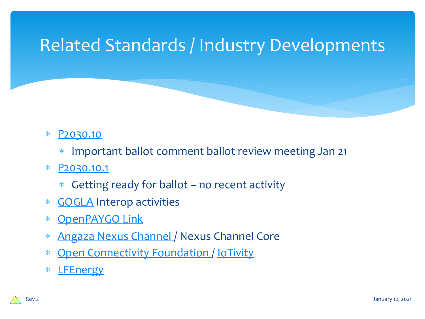#### [Related](https://www.gogla.org/) Standards / Industry Developme



- \* Important ballot comment ballot review meeting Jan 21
- \* P2030.10.1
	- \* Getting ready for ballot no recent activity
- \* GOGLA Interop activities
- \* OpenPAYGO Link
- \* Angaza Nexus Channel / Nexus Channel Core
- \* Open Connectivity Foundation / IoTivity
- \* LFEnergy